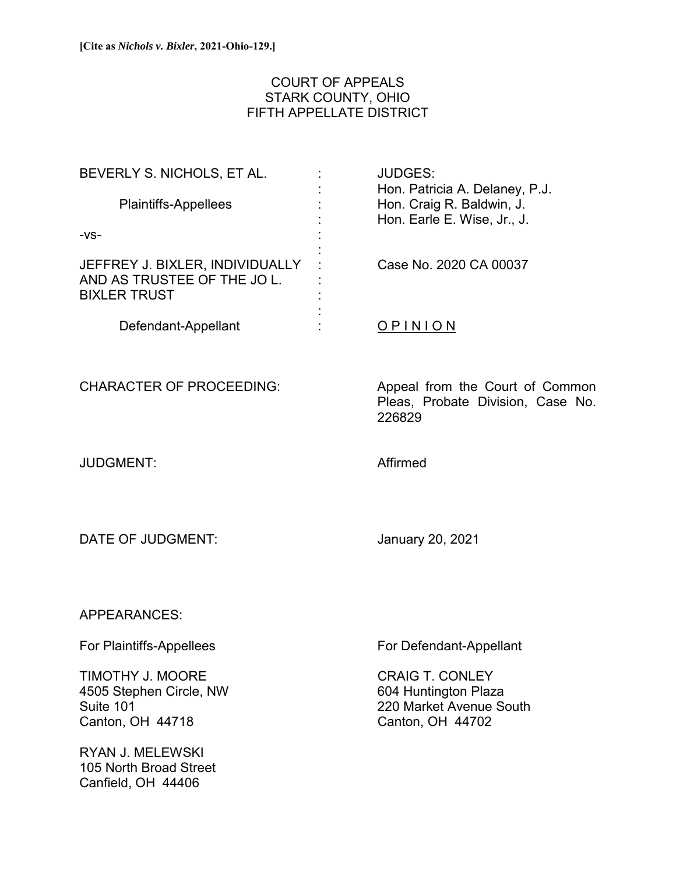# COURT OF APPEALS STARK COUNTY, OHIO FIFTH APPELLATE DISTRICT

| BEVERLY S. NICHOLS, ET AL.                                                            | <b>JUDGES:</b><br>Hon. Patricia A. Delaney, P.J.                     |
|---------------------------------------------------------------------------------------|----------------------------------------------------------------------|
| <b>Plaintiffs-Appellees</b>                                                           | Hon. Craig R. Baldwin, J.<br>Hon. Earle E. Wise, Jr., J.             |
| $-VS-$                                                                                |                                                                      |
| JEFFREY J. BIXLER, INDIVIDUALLY<br>AND AS TRUSTEE OF THE JO L.<br><b>BIXLER TRUST</b> | Case No. 2020 CA 00037                                               |
| Defendant-Appellant                                                                   | OPINION                                                              |
| <b>CHARACTER OF PROCEEDING:</b>                                                       | Appeal from the Court of Common<br>Pleas, Probate Division, Case No. |

JUDGMENT: Affirmed

226829

DATE OF JUDGMENT: January 20, 2021

APPEARANCES:

TIMOTHY J. MOORE CRAIG T. CONLEY 4505 Stephen Circle, NW 604 Huntington Plaza Canton, OH 44718 Canton, OH 44702

RYAN J. MELEWSKI 105 North Broad Street Canfield, OH 44406

For Plaintiffs-Appellees For Defendant-Appellant

Suite 101 220 Market Avenue South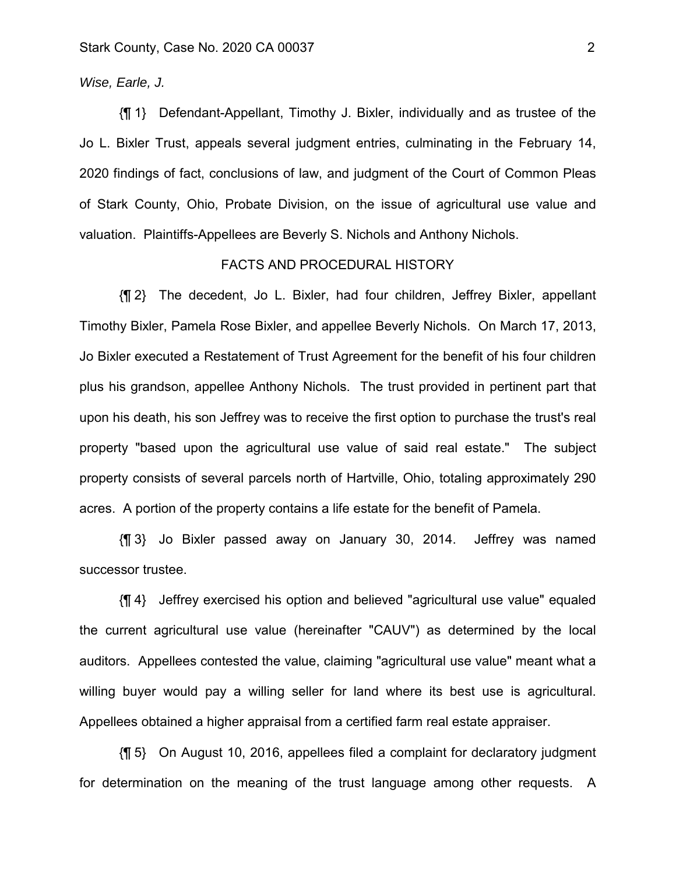### *Wise, Earle, J.*

{¶ 1} Defendant-Appellant, Timothy J. Bixler, individually and as trustee of the Jo L. Bixler Trust, appeals several judgment entries, culminating in the February 14, 2020 findings of fact, conclusions of law, and judgment of the Court of Common Pleas of Stark County, Ohio, Probate Division, on the issue of agricultural use value and valuation. Plaintiffs-Appellees are Beverly S. Nichols and Anthony Nichols.

#### FACTS AND PROCEDURAL HISTORY

{¶ 2} The decedent, Jo L. Bixler, had four children, Jeffrey Bixler, appellant Timothy Bixler, Pamela Rose Bixler, and appellee Beverly Nichols. On March 17, 2013, Jo Bixler executed a Restatement of Trust Agreement for the benefit of his four children plus his grandson, appellee Anthony Nichols. The trust provided in pertinent part that upon his death, his son Jeffrey was to receive the first option to purchase the trust's real property "based upon the agricultural use value of said real estate." The subject property consists of several parcels north of Hartville, Ohio, totaling approximately 290 acres. A portion of the property contains a life estate for the benefit of Pamela.

{¶ 3} Jo Bixler passed away on January 30, 2014. Jeffrey was named successor trustee.

{¶ 4} Jeffrey exercised his option and believed "agricultural use value" equaled the current agricultural use value (hereinafter "CAUV") as determined by the local auditors. Appellees contested the value, claiming "agricultural use value" meant what a willing buyer would pay a willing seller for land where its best use is agricultural. Appellees obtained a higher appraisal from a certified farm real estate appraiser.

{¶ 5} On August 10, 2016, appellees filed a complaint for declaratory judgment for determination on the meaning of the trust language among other requests. A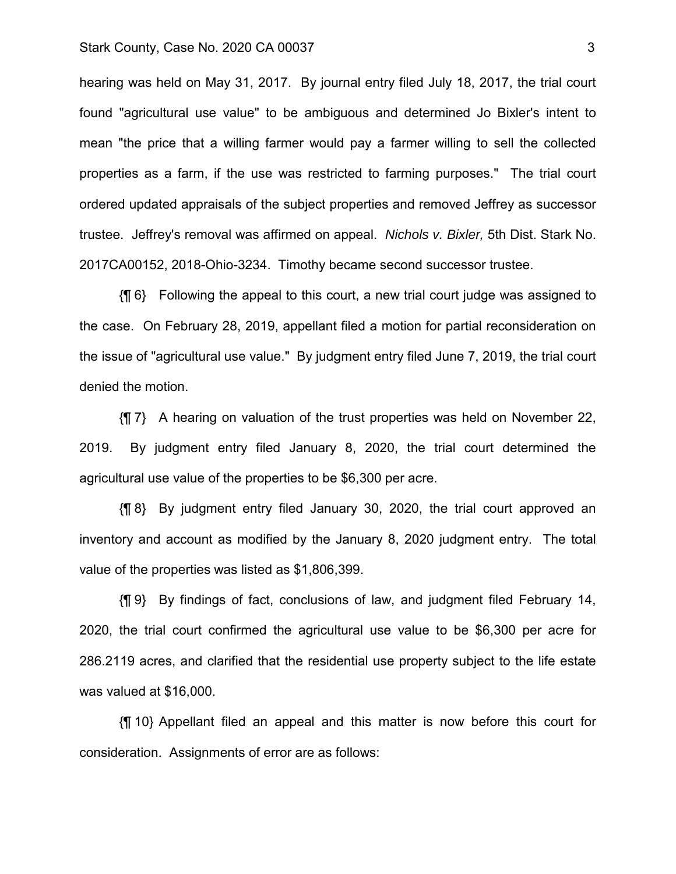#### Stark County, Case No. 2020 CA 00037 33

hearing was held on May 31, 2017. By journal entry filed July 18, 2017, the trial court found "agricultural use value" to be ambiguous and determined Jo Bixler's intent to mean "the price that a willing farmer would pay a farmer willing to sell the collected properties as a farm, if the use was restricted to farming purposes." The trial court ordered updated appraisals of the subject properties and removed Jeffrey as successor trustee. Jeffrey's removal was affirmed on appeal. *Nichols v. Bixler,* 5th Dist. Stark No. 2017CA00152, 2018-Ohio-3234. Timothy became second successor trustee.

{¶ 6} Following the appeal to this court, a new trial court judge was assigned to the case. On February 28, 2019, appellant filed a motion for partial reconsideration on the issue of "agricultural use value." By judgment entry filed June 7, 2019, the trial court denied the motion.

{¶ 7} A hearing on valuation of the trust properties was held on November 22, 2019. By judgment entry filed January 8, 2020, the trial court determined the agricultural use value of the properties to be \$6,300 per acre.

{¶ 8} By judgment entry filed January 30, 2020, the trial court approved an inventory and account as modified by the January 8, 2020 judgment entry. The total value of the properties was listed as \$1,806,399.

{¶ 9} By findings of fact, conclusions of law, and judgment filed February 14, 2020, the trial court confirmed the agricultural use value to be \$6,300 per acre for 286.2119 acres, and clarified that the residential use property subject to the life estate was valued at \$16,000.

{¶ 10} Appellant filed an appeal and this matter is now before this court for consideration. Assignments of error are as follows: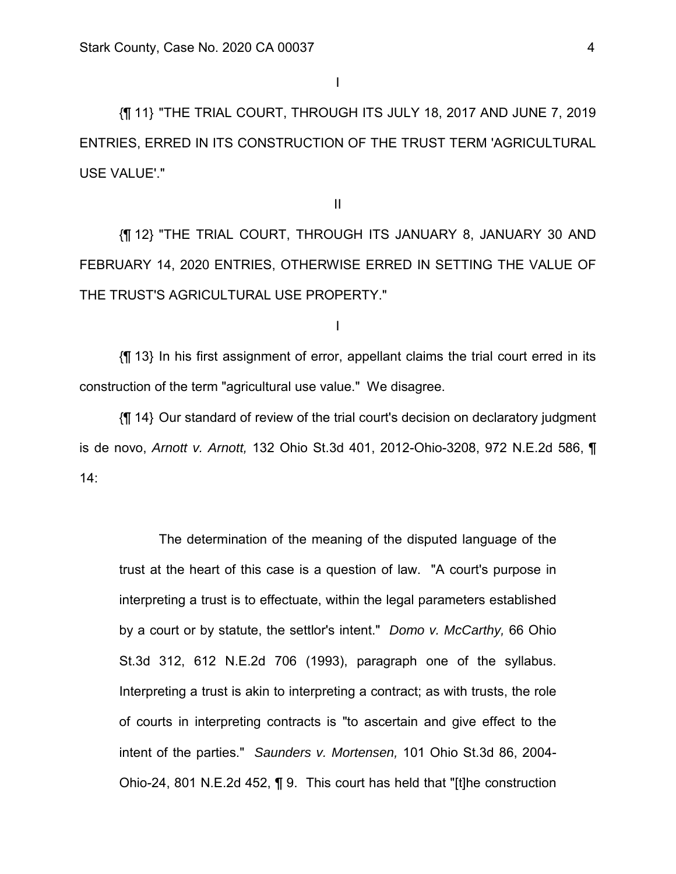{¶ 11} "THE TRIAL COURT, THROUGH ITS JULY 18, 2017 AND JUNE 7, 2019 ENTRIES, ERRED IN ITS CONSTRUCTION OF THE TRUST TERM 'AGRICULTURAL USE VALUE'."

II

{¶ 12} "THE TRIAL COURT, THROUGH ITS JANUARY 8, JANUARY 30 AND FEBRUARY 14, 2020 ENTRIES, OTHERWISE ERRED IN SETTING THE VALUE OF THE TRUST'S AGRICULTURAL USE PROPERTY."

I

{¶ 13} In his first assignment of error, appellant claims the trial court erred in its construction of the term "agricultural use value." We disagree.

{¶ 14} Our standard of review of the trial court's decision on declaratory judgment is de novo, *Arnott v. Arnott,* 132 Ohio St.3d 401, 2012-Ohio-3208, 972 N.E.2d 586, ¶ 14:

 The determination of the meaning of the disputed language of the trust at the heart of this case is a question of law. "A court's purpose in interpreting a trust is to effectuate, within the legal parameters established by a court or by statute, the settlor's intent." *Domo v. McCarthy,* 66 Ohio St.3d 312, 612 N.E.2d 706 (1993), paragraph one of the syllabus. Interpreting a trust is akin to interpreting a contract; as with trusts, the role of courts in interpreting contracts is "to ascertain and give effect to the intent of the parties." *Saunders v. Mortensen,* 101 Ohio St.3d 86, 2004- Ohio-24, 801 N.E.2d 452, ¶ 9. This court has held that "[t]he construction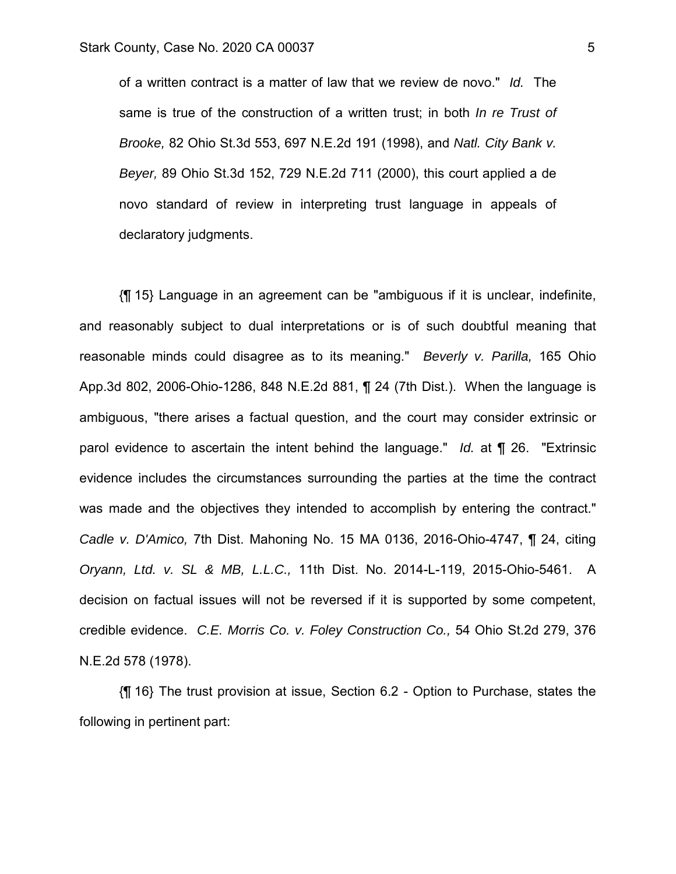of a written contract is a matter of law that we review de novo." *Id.* The same is true of the construction of a written trust; in both *In re Trust of Brooke,* 82 Ohio St.3d 553, 697 N.E.2d 191 (1998), and *Natl. City Bank v. Beyer,* 89 Ohio St.3d 152, 729 N.E.2d 711 (2000), this court applied a de novo standard of review in interpreting trust language in appeals of declaratory judgments.

{¶ 15} Language in an agreement can be "ambiguous if it is unclear, indefinite, and reasonably subject to dual interpretations or is of such doubtful meaning that reasonable minds could disagree as to its meaning." *Beverly v. Parilla,* 165 Ohio App.3d 802, 2006-Ohio-1286, 848 N.E.2d 881, ¶ 24 (7th Dist.). When the language is ambiguous, "there arises a factual question, and the court may consider extrinsic or parol evidence to ascertain the intent behind the language." *Id.* at ¶ 26. "Extrinsic evidence includes the circumstances surrounding the parties at the time the contract was made and the objectives they intended to accomplish by entering the contract." *Cadle v. D'Amico,* 7th Dist. Mahoning No. 15 MA 0136, 2016-Ohio-4747, ¶ 24, citing *Oryann, Ltd. v. SL & MB, L.L.C.,* 11th Dist. No. 2014-L-119, 2015-Ohio-5461. A decision on factual issues will not be reversed if it is supported by some competent, credible evidence. *C.E. Morris Co. v. Foley Construction Co.,* 54 Ohio St.2d 279, 376 N.E.2d 578 (1978).

{¶ 16} The trust provision at issue, Section 6.2 - Option to Purchase, states the following in pertinent part: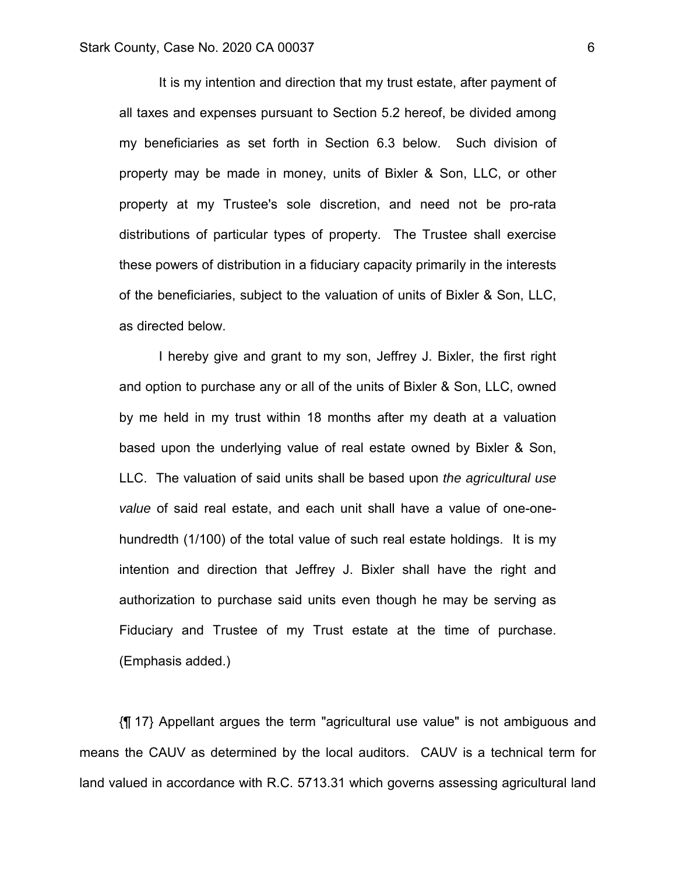It is my intention and direction that my trust estate, after payment of all taxes and expenses pursuant to Section 5.2 hereof, be divided among my beneficiaries as set forth in Section 6.3 below. Such division of property may be made in money, units of Bixler & Son, LLC, or other property at my Trustee's sole discretion, and need not be pro-rata distributions of particular types of property. The Trustee shall exercise these powers of distribution in a fiduciary capacity primarily in the interests of the beneficiaries, subject to the valuation of units of Bixler & Son, LLC, as directed below.

 I hereby give and grant to my son, Jeffrey J. Bixler, the first right and option to purchase any or all of the units of Bixler & Son, LLC, owned by me held in my trust within 18 months after my death at a valuation based upon the underlying value of real estate owned by Bixler & Son, LLC. The valuation of said units shall be based upon *the agricultural use value* of said real estate, and each unit shall have a value of one-onehundredth (1/100) of the total value of such real estate holdings. It is my intention and direction that Jeffrey J. Bixler shall have the right and authorization to purchase said units even though he may be serving as Fiduciary and Trustee of my Trust estate at the time of purchase. (Emphasis added.)

{¶ 17} Appellant argues the term "agricultural use value" is not ambiguous and means the CAUV as determined by the local auditors. CAUV is a technical term for land valued in accordance with R.C. 5713.31 which governs assessing agricultural land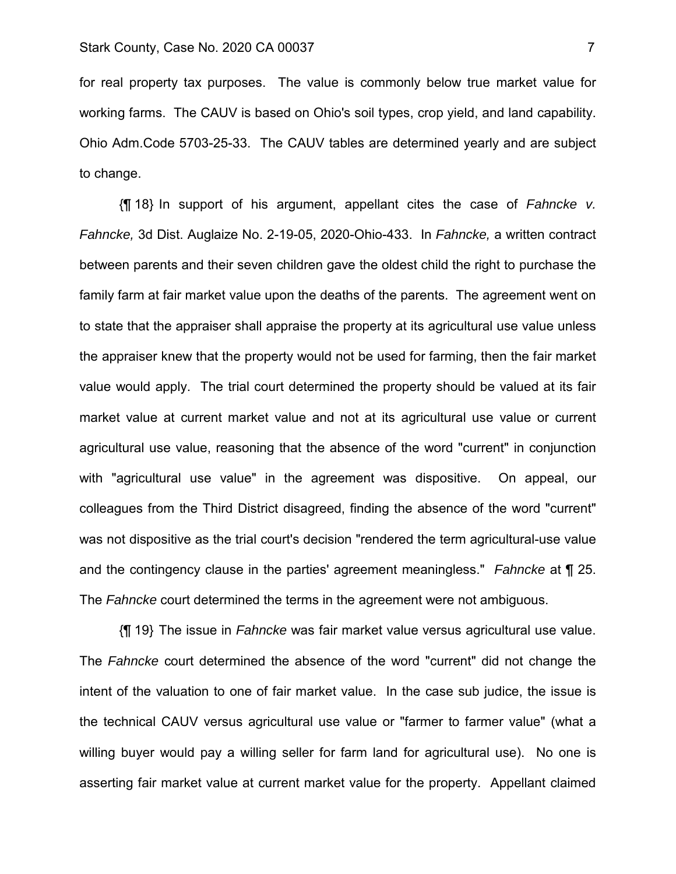for real property tax purposes. The value is commonly below true market value for working farms. The CAUV is based on Ohio's soil types, crop yield, and land capability. Ohio Adm.Code 5703-25-33. The CAUV tables are determined yearly and are subject to change.

{¶ 18} In support of his argument, appellant cites the case of *Fahncke v. Fahncke,* 3d Dist. Auglaize No. 2-19-05, 2020-Ohio-433. In *Fahncke,* a written contract between parents and their seven children gave the oldest child the right to purchase the family farm at fair market value upon the deaths of the parents. The agreement went on to state that the appraiser shall appraise the property at its agricultural use value unless the appraiser knew that the property would not be used for farming, then the fair market value would apply. The trial court determined the property should be valued at its fair market value at current market value and not at its agricultural use value or current agricultural use value, reasoning that the absence of the word "current" in conjunction with "agricultural use value" in the agreement was dispositive. On appeal, our colleagues from the Third District disagreed, finding the absence of the word "current" was not dispositive as the trial court's decision "rendered the term agricultural-use value and the contingency clause in the parties' agreement meaningless." *Fahncke* at ¶ 25. The *Fahncke* court determined the terms in the agreement were not ambiguous.

{¶ 19} The issue in *Fahncke* was fair market value versus agricultural use value. The *Fahncke* court determined the absence of the word "current" did not change the intent of the valuation to one of fair market value. In the case sub judice, the issue is the technical CAUV versus agricultural use value or "farmer to farmer value" (what a willing buyer would pay a willing seller for farm land for agricultural use). No one is asserting fair market value at current market value for the property. Appellant claimed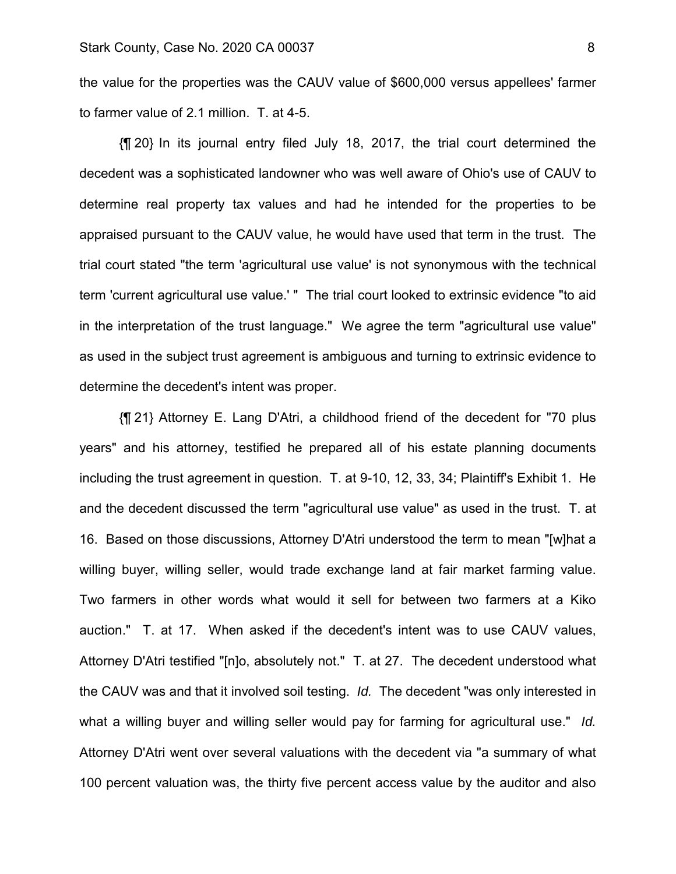the value for the properties was the CAUV value of \$600,000 versus appellees' farmer to farmer value of 2.1 million. T. at 4-5.

{¶ 20} In its journal entry filed July 18, 2017, the trial court determined the decedent was a sophisticated landowner who was well aware of Ohio's use of CAUV to determine real property tax values and had he intended for the properties to be appraised pursuant to the CAUV value, he would have used that term in the trust. The trial court stated "the term 'agricultural use value' is not synonymous with the technical term 'current agricultural use value.' " The trial court looked to extrinsic evidence "to aid in the interpretation of the trust language." We agree the term "agricultural use value" as used in the subject trust agreement is ambiguous and turning to extrinsic evidence to determine the decedent's intent was proper.

{¶ 21} Attorney E. Lang D'Atri, a childhood friend of the decedent for "70 plus years" and his attorney, testified he prepared all of his estate planning documents including the trust agreement in question. T. at 9-10, 12, 33, 34; Plaintiff's Exhibit 1. He and the decedent discussed the term "agricultural use value" as used in the trust. T. at 16. Based on those discussions, Attorney D'Atri understood the term to mean "[w]hat a willing buyer, willing seller, would trade exchange land at fair market farming value. Two farmers in other words what would it sell for between two farmers at a Kiko auction." T. at 17. When asked if the decedent's intent was to use CAUV values, Attorney D'Atri testified "[n]o, absolutely not." T. at 27. The decedent understood what the CAUV was and that it involved soil testing. *Id.* The decedent "was only interested in what a willing buyer and willing seller would pay for farming for agricultural use." *Id.* Attorney D'Atri went over several valuations with the decedent via "a summary of what 100 percent valuation was, the thirty five percent access value by the auditor and also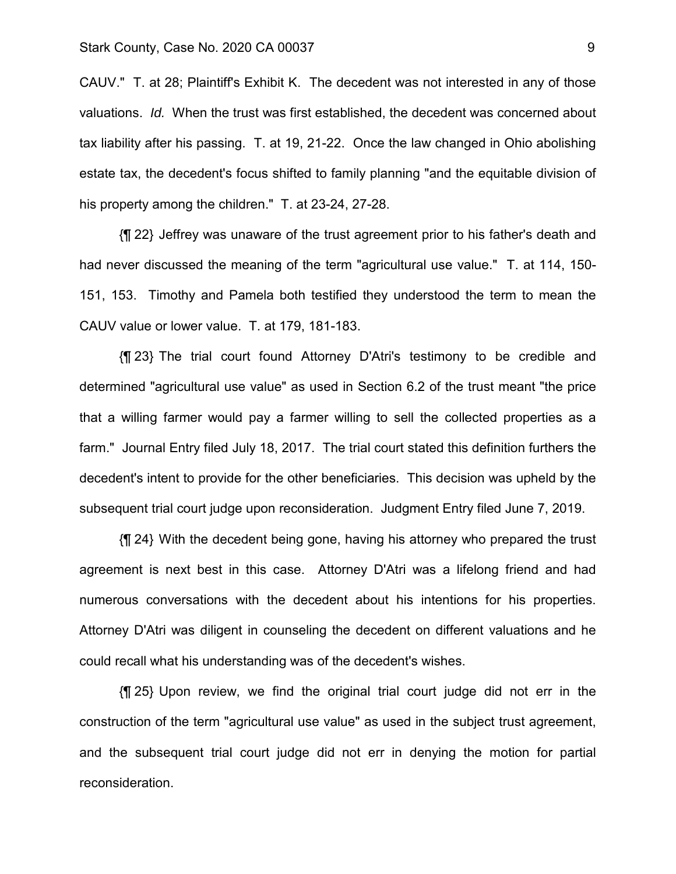## Stark County, Case No. 2020 CA 00037 9

CAUV." T. at 28; Plaintiff's Exhibit K. The decedent was not interested in any of those valuations. *Id.* When the trust was first established, the decedent was concerned about tax liability after his passing. T. at 19, 21-22. Once the law changed in Ohio abolishing estate tax, the decedent's focus shifted to family planning "and the equitable division of his property among the children." T. at 23-24, 27-28.

{¶ 22} Jeffrey was unaware of the trust agreement prior to his father's death and had never discussed the meaning of the term "agricultural use value." T. at 114, 150- 151, 153. Timothy and Pamela both testified they understood the term to mean the CAUV value or lower value. T. at 179, 181-183.

{¶ 23} The trial court found Attorney D'Atri's testimony to be credible and determined "agricultural use value" as used in Section 6.2 of the trust meant "the price that a willing farmer would pay a farmer willing to sell the collected properties as a farm." Journal Entry filed July 18, 2017. The trial court stated this definition furthers the decedent's intent to provide for the other beneficiaries. This decision was upheld by the subsequent trial court judge upon reconsideration. Judgment Entry filed June 7, 2019.

{¶ 24} With the decedent being gone, having his attorney who prepared the trust agreement is next best in this case. Attorney D'Atri was a lifelong friend and had numerous conversations with the decedent about his intentions for his properties. Attorney D'Atri was diligent in counseling the decedent on different valuations and he could recall what his understanding was of the decedent's wishes.

{¶ 25} Upon review, we find the original trial court judge did not err in the construction of the term "agricultural use value" as used in the subject trust agreement, and the subsequent trial court judge did not err in denying the motion for partial reconsideration.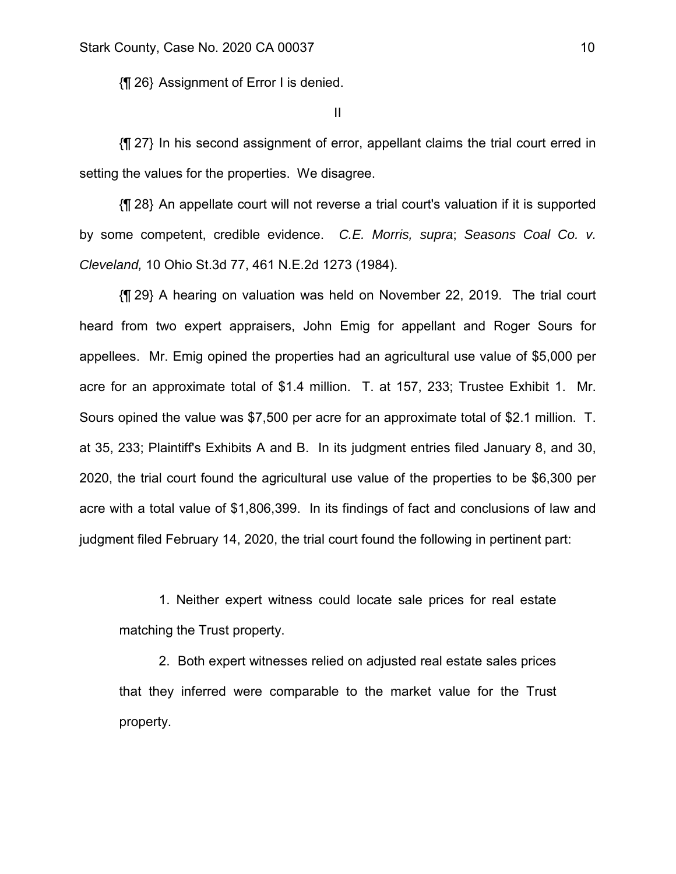{¶ 26} Assignment of Error I is denied.

II

{¶ 27} In his second assignment of error, appellant claims the trial court erred in setting the values for the properties. We disagree.

{¶ 28} An appellate court will not reverse a trial court's valuation if it is supported by some competent, credible evidence. *C.E. Morris, supra*; *Seasons Coal Co. v. Cleveland,* 10 Ohio St.3d 77, 461 N.E.2d 1273 (1984).

{¶ 29} A hearing on valuation was held on November 22, 2019. The trial court heard from two expert appraisers, John Emig for appellant and Roger Sours for appellees. Mr. Emig opined the properties had an agricultural use value of \$5,000 per acre for an approximate total of \$1.4 million. T. at 157, 233; Trustee Exhibit 1. Mr. Sours opined the value was \$7,500 per acre for an approximate total of \$2.1 million. T. at 35, 233; Plaintiff's Exhibits A and B. In its judgment entries filed January 8, and 30, 2020, the trial court found the agricultural use value of the properties to be \$6,300 per acre with a total value of \$1,806,399. In its findings of fact and conclusions of law and judgment filed February 14, 2020, the trial court found the following in pertinent part:

 1. Neither expert witness could locate sale prices for real estate matching the Trust property.

 2. Both expert witnesses relied on adjusted real estate sales prices that they inferred were comparable to the market value for the Trust property.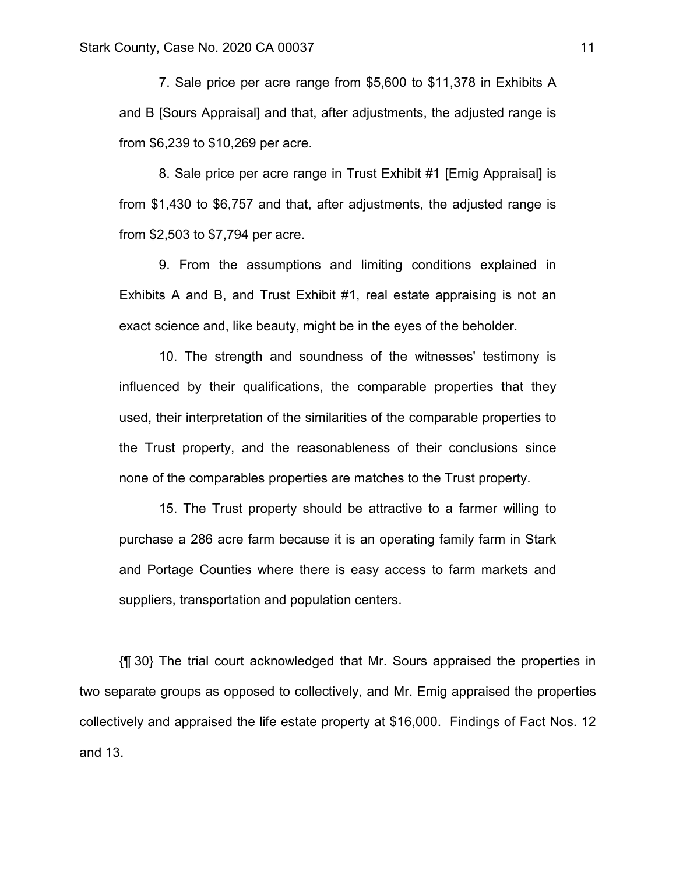7. Sale price per acre range from \$5,600 to \$11,378 in Exhibits A and B [Sours Appraisal] and that, after adjustments, the adjusted range is from \$6,239 to \$10,269 per acre.

 8. Sale price per acre range in Trust Exhibit #1 [Emig Appraisal] is from \$1,430 to \$6,757 and that, after adjustments, the adjusted range is from \$2,503 to \$7,794 per acre.

 9. From the assumptions and limiting conditions explained in Exhibits A and B, and Trust Exhibit #1, real estate appraising is not an exact science and, like beauty, might be in the eyes of the beholder.

 10. The strength and soundness of the witnesses' testimony is influenced by their qualifications, the comparable properties that they used, their interpretation of the similarities of the comparable properties to the Trust property, and the reasonableness of their conclusions since none of the comparables properties are matches to the Trust property.

 15. The Trust property should be attractive to a farmer willing to purchase a 286 acre farm because it is an operating family farm in Stark and Portage Counties where there is easy access to farm markets and suppliers, transportation and population centers.

{¶ 30} The trial court acknowledged that Mr. Sours appraised the properties in two separate groups as opposed to collectively, and Mr. Emig appraised the properties collectively and appraised the life estate property at \$16,000. Findings of Fact Nos. 12 and 13.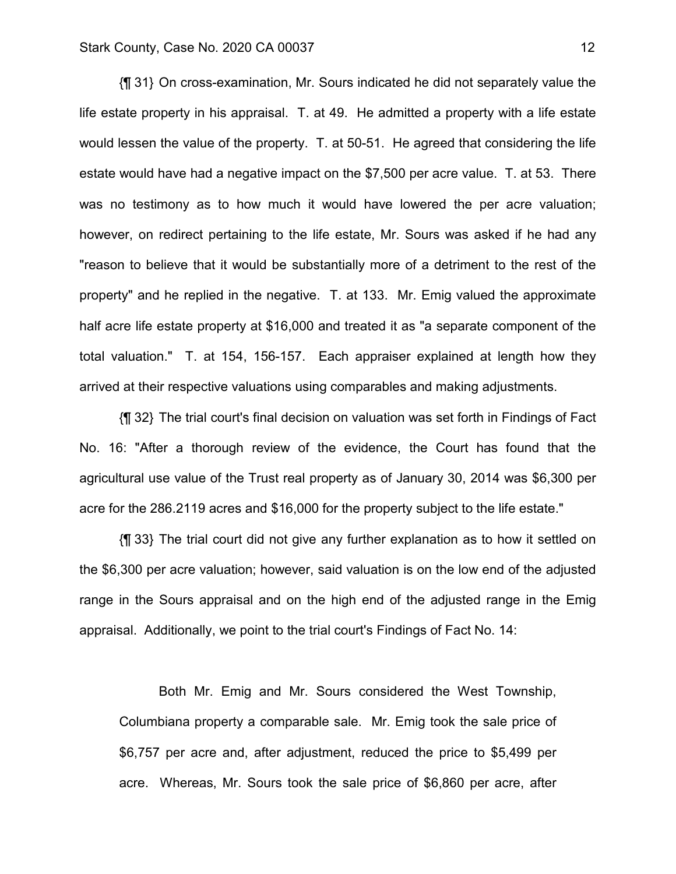{¶ 31} On cross-examination, Mr. Sours indicated he did not separately value the life estate property in his appraisal. T. at 49. He admitted a property with a life estate would lessen the value of the property. T. at 50-51. He agreed that considering the life estate would have had a negative impact on the \$7,500 per acre value. T. at 53. There was no testimony as to how much it would have lowered the per acre valuation; however, on redirect pertaining to the life estate, Mr. Sours was asked if he had any "reason to believe that it would be substantially more of a detriment to the rest of the property" and he replied in the negative. T. at 133. Mr. Emig valued the approximate half acre life estate property at \$16,000 and treated it as "a separate component of the total valuation." T. at 154, 156-157. Each appraiser explained at length how they arrived at their respective valuations using comparables and making adjustments.

{¶ 32} The trial court's final decision on valuation was set forth in Findings of Fact No. 16: "After a thorough review of the evidence, the Court has found that the agricultural use value of the Trust real property as of January 30, 2014 was \$6,300 per acre for the 286.2119 acres and \$16,000 for the property subject to the life estate."

{¶ 33} The trial court did not give any further explanation as to how it settled on the \$6,300 per acre valuation; however, said valuation is on the low end of the adjusted range in the Sours appraisal and on the high end of the adjusted range in the Emig appraisal. Additionally, we point to the trial court's Findings of Fact No. 14:

 Both Mr. Emig and Mr. Sours considered the West Township, Columbiana property a comparable sale. Mr. Emig took the sale price of \$6,757 per acre and, after adjustment, reduced the price to \$5,499 per acre. Whereas, Mr. Sours took the sale price of \$6,860 per acre, after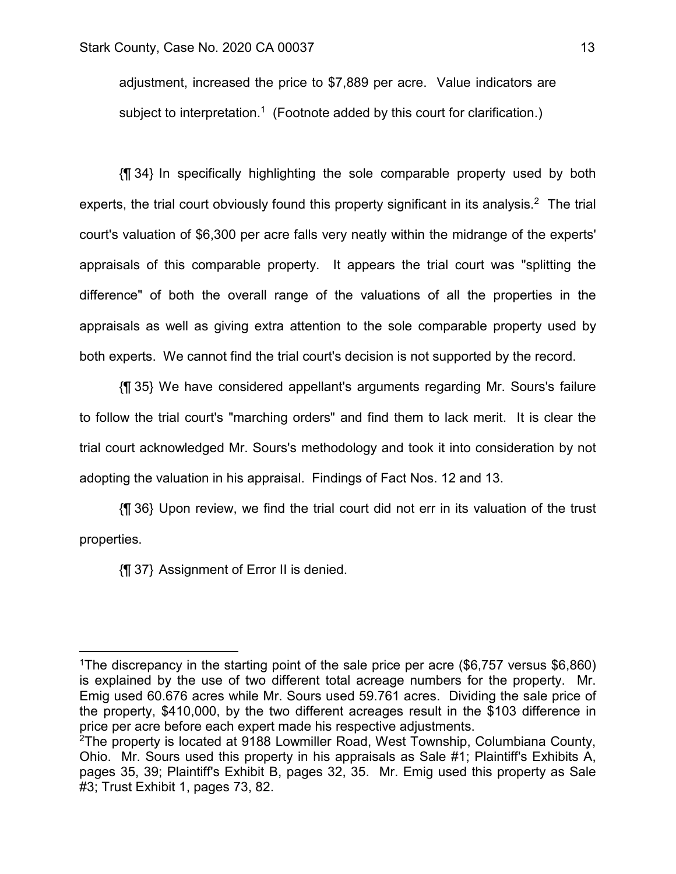adjustment, increased the price to \$7,889 per acre. Value indicators are subject to interpretation.<sup>1</sup> (Footnote added by this court for clarification.)

{¶ 34} In specifically highlighting the sole comparable property used by both experts, the trial court obviously found this property significant in its analysis.<sup>2</sup> The trial court's valuation of \$6,300 per acre falls very neatly within the midrange of the experts' appraisals of this comparable property. It appears the trial court was "splitting the difference" of both the overall range of the valuations of all the properties in the appraisals as well as giving extra attention to the sole comparable property used by both experts. We cannot find the trial court's decision is not supported by the record.

{¶ 35} We have considered appellant's arguments regarding Mr. Sours's failure to follow the trial court's "marching orders" and find them to lack merit. It is clear the trial court acknowledged Mr. Sours's methodology and took it into consideration by not adopting the valuation in his appraisal. Findings of Fact Nos. 12 and 13.

{¶ 36} Upon review, we find the trial court did not err in its valuation of the trust properties.

{¶ 37} Assignment of Error II is denied.

<u>.</u>

<sup>&</sup>lt;sup>1</sup>The discrepancy in the starting point of the sale price per acre (\$6,757 versus \$6,860) is explained by the use of two different total acreage numbers for the property. Mr. Emig used 60.676 acres while Mr. Sours used 59.761 acres. Dividing the sale price of the property, \$410,000, by the two different acreages result in the \$103 difference in price per acre before each expert made his respective adjustments.

<sup>2</sup>The property is located at 9188 Lowmiller Road, West Township, Columbiana County, Ohio. Mr. Sours used this property in his appraisals as Sale #1; Plaintiff's Exhibits A, pages 35, 39; Plaintiff's Exhibit B, pages 32, 35. Mr. Emig used this property as Sale #3; Trust Exhibit 1, pages 73, 82.